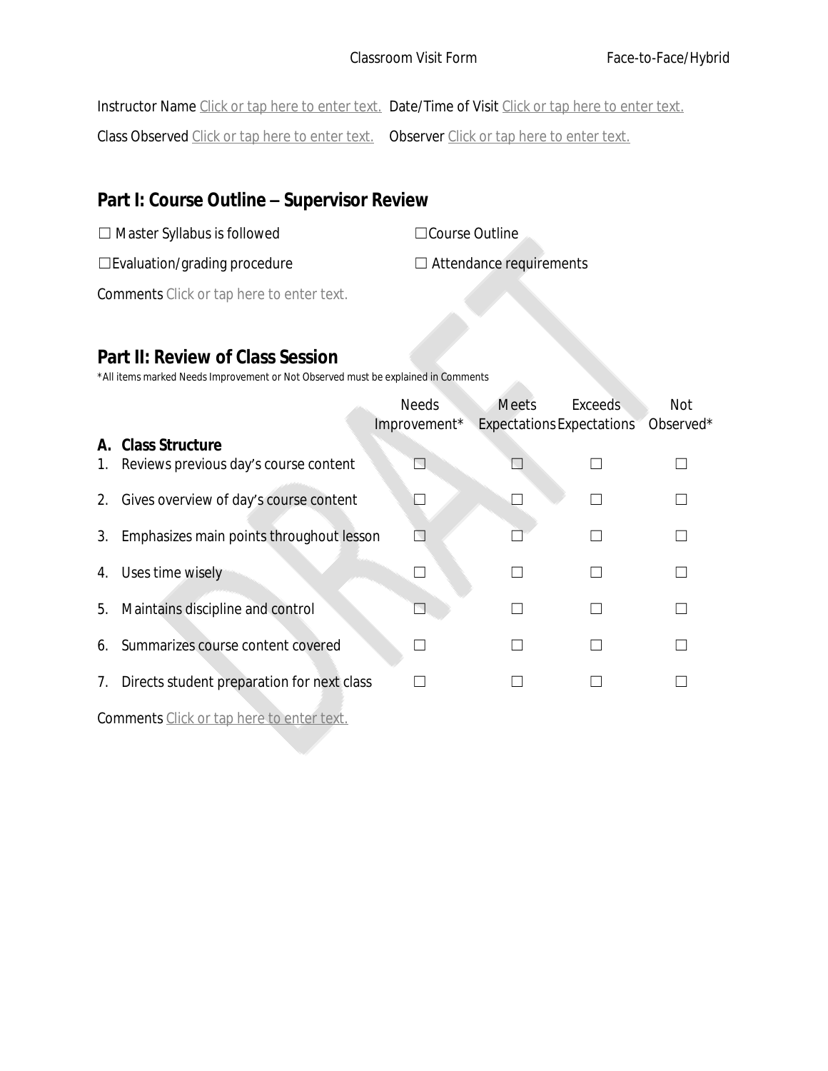Instructor Name Click or tap here to enter text. Date/Time of Visit Click or tap here to enter text.

Class Observed Click or tap here to enter text. Observer Click or tap here to enter text.

# **Part I: Course Outline – Supervisor Review**

| $\Box$ Master Syllabus is followed     | □ Course Outline               |
|----------------------------------------|--------------------------------|
| $\square$ Evaluation/grading procedure | $\Box$ Attendance requirements |

Comments Click or tap here to enter text.

### **Part II: Review of Class Session**

\*All items marked Needs Improvement or Not Observed must be explained in Comments

|    |                                                             | <b>Needs</b><br>Improvement* | <b>Meets</b><br><b>Expectations Expectations</b> | <b>Exceeds</b> | Not<br>Observed* |
|----|-------------------------------------------------------------|------------------------------|--------------------------------------------------|----------------|------------------|
| 1. | A. Class Structure<br>Reviews previous day's course content |                              |                                                  |                |                  |
| 2. | Gives overview of day's course content                      |                              |                                                  |                |                  |
| 3. | Emphasizes main points throughout lesson                    |                              |                                                  |                |                  |
| 4. | Uses time wisely                                            |                              |                                                  |                |                  |
| 5. | Maintains discipline and control                            |                              |                                                  |                |                  |
| 6. | Summarizes course content covered                           |                              |                                                  |                |                  |
| 7. | Directs student preparation for next class                  |                              |                                                  |                |                  |
|    |                                                             |                              |                                                  |                |                  |

Comments Click or tap here to enter text.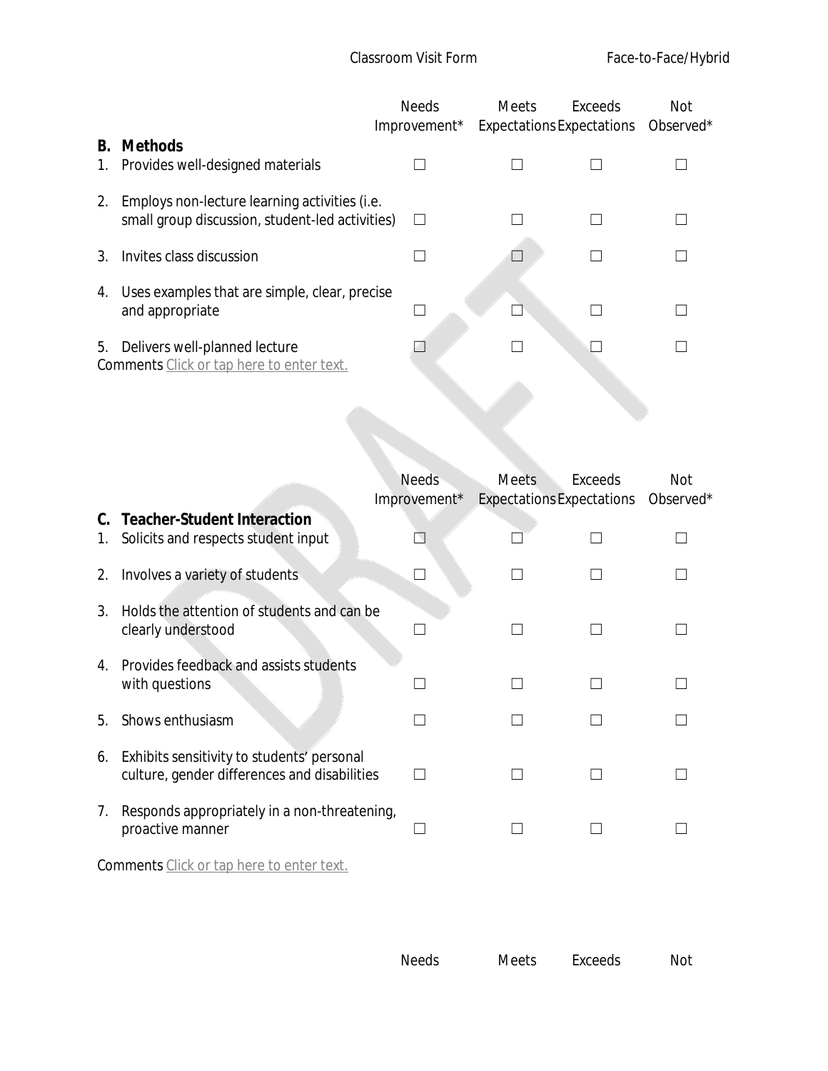|          |                                                                                                  | <b>Needs</b><br>Improvement* | <b>Meets</b> | Exceeds<br><b>Expectations Expectations</b> | Not<br>Observed* |
|----------|--------------------------------------------------------------------------------------------------|------------------------------|--------------|---------------------------------------------|------------------|
| В.<br>1. | <b>Methods</b><br>Provides well-designed materials                                               |                              |              |                                             |                  |
| 2.       | Employs non-lecture learning activities (i.e.<br>small group discussion, student-led activities) |                              |              |                                             |                  |
| 3.       | Invites class discussion                                                                         |                              |              |                                             |                  |
| 4.       | Uses examples that are simple, clear, precise<br>and appropriate                                 |                              |              |                                             |                  |
| 5.       | Delivers well-planned lecture<br>Comments Click or tap here to enter text.                       |                              |              |                                             |                  |
|          |                                                                                                  |                              |              |                                             |                  |
|          |                                                                                                  |                              |              |                                             |                  |

|            |                                                                                            | <b>Needs</b><br>Improvement* | <b>Meets</b><br><b>Expectations Expectations</b> | Exceeds | Not<br>Observed* |  |
|------------|--------------------------------------------------------------------------------------------|------------------------------|--------------------------------------------------|---------|------------------|--|
| 1.         | <b>Teacher-Student Interaction</b><br>Solicits and respects student input                  |                              |                                                  |         |                  |  |
| 2.         | Involves a variety of students                                                             |                              |                                                  |         |                  |  |
| 3.         | Holds the attention of students and can be<br>clearly understood                           |                              |                                                  |         |                  |  |
| 4.         | Provides feedback and assists students<br>with questions                                   |                              |                                                  |         |                  |  |
| 5.         | Shows enthusiasm                                                                           |                              |                                                  |         |                  |  |
| 6.         | Exhibits sensitivity to students' personal<br>culture, gender differences and disabilities |                              |                                                  |         |                  |  |
| $\prime$ . | Responds appropriately in a non-threatening,<br>proactive manner                           |                              |                                                  |         |                  |  |
|            | <b>Comments</b> Click or tap here to enter text.                                           |                              |                                                  |         |                  |  |

| <b>Needs</b> | Meets | Exceeds | Not |
|--------------|-------|---------|-----|
|              |       |         |     |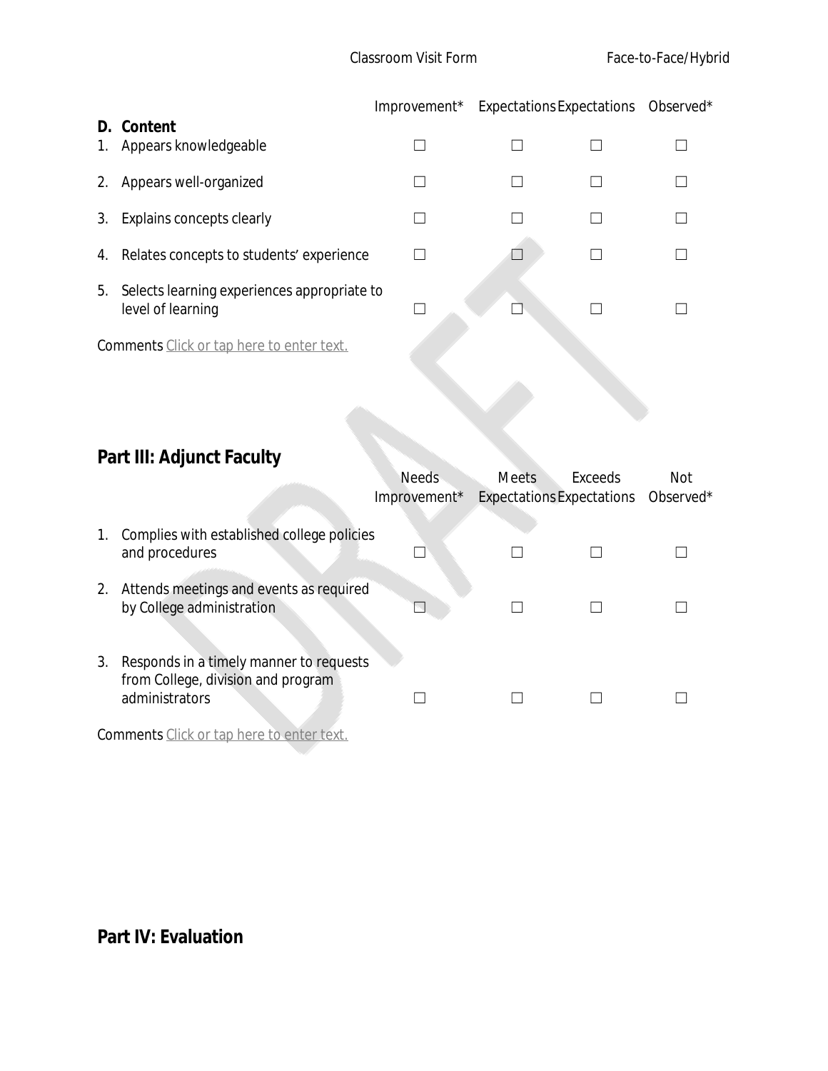|          |                                                                  | Improvement* Expectations Expectations Observed* |  |  |
|----------|------------------------------------------------------------------|--------------------------------------------------|--|--|
| D.<br>1. | Content<br>Appears knowledgeable                                 |                                                  |  |  |
| 2.       | Appears well-organized                                           |                                                  |  |  |
| 3.       | Explains concepts clearly                                        |                                                  |  |  |
| 4.       | Relates concepts to students' experience                         |                                                  |  |  |
| 5.       | Selects learning experiences appropriate to<br>level of learning |                                                  |  |  |
|          | <b>Comments</b> Click or tap here to enter text.                 |                                                  |  |  |

# **Part III: Adjunct Faculty**

|    |                                                                                                 | Needs<br>Improvement <sup>*</sup> | <b>Meets</b><br>Expectations Expectations Observed* | Exceeds | Not |
|----|-------------------------------------------------------------------------------------------------|-----------------------------------|-----------------------------------------------------|---------|-----|
| 1. | Complies with established college policies<br>and procedures                                    |                                   |                                                     |         |     |
| 2. | Attends meetings and events as required<br>by College administration                            |                                   |                                                     |         |     |
| 3. | Responds in a timely manner to requests<br>from College, division and program<br>administrators |                                   |                                                     |         |     |

Comments Click or tap here to enter text.

# **Part IV: Evaluation**